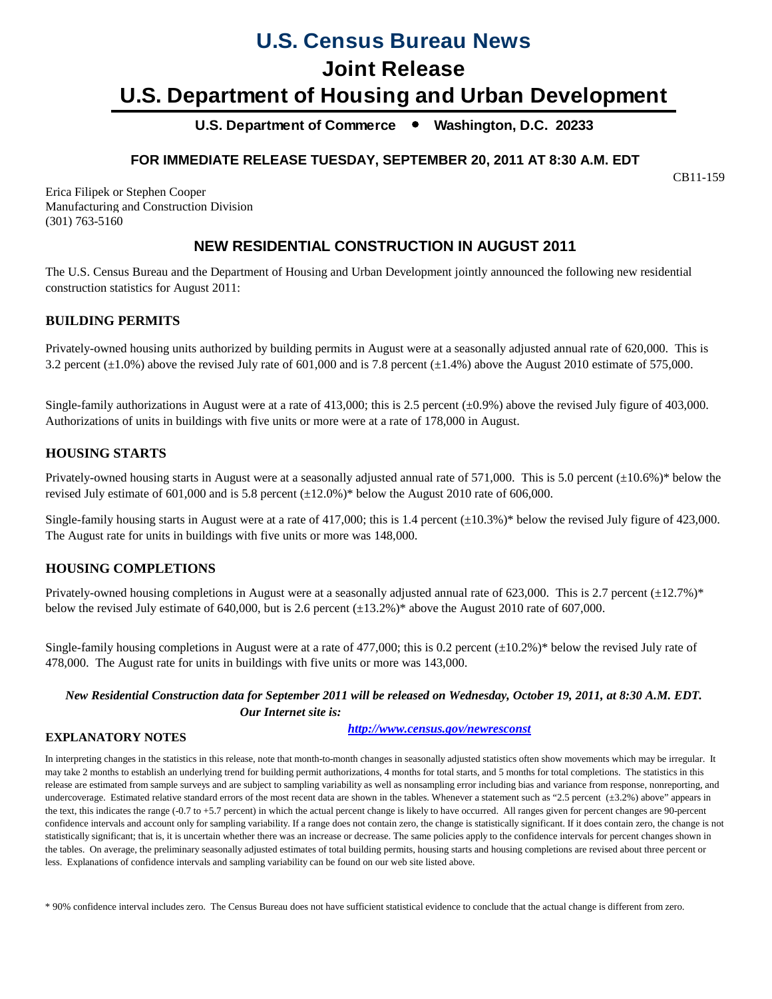# **U.S. Census Bureau News**

# **Joint Release**

# **U.S. Department of Housing and Urban Development**

**U.S. Department of Commerce Washington, D.C. 20233**

# **FOR IMMEDIATE RELEASE TUESDAY, SEPTEMBER 20, 2011 AT 8:30 A.M. EDT**

CB11-159

Erica Filipek or Stephen Cooper Manufacturing and Construction Division (301) 763-5160

# **NEW RESIDENTIAL CONSTRUCTION IN AUGUST 2011**

The U.S. Census Bureau and the Department of Housing and Urban Development jointly announced the following new residential construction statistics for August 2011:

# **BUILDING PERMITS**

Privately-owned housing units authorized by building permits in August were at a seasonally adjusted annual rate of 620,000. This is 3.2 percent  $(\pm 1.0\%)$  above the revised July rate of 601,000 and is 7.8 percent  $(\pm 1.4\%)$  above the August 2010 estimate of 575,000.

Single-family authorizations in August were at a rate of 413,000; this is 2.5 percent  $(\pm 0.9\%)$  above the revised July figure of 403,000. Authorizations of units in buildings with five units or more were at a rate of 178,000 in August.

# **HOUSING STARTS**

Privately-owned housing starts in August were at a seasonally adjusted annual rate of 571,000. This is 5.0 percent (±10.6%)\* below the revised July estimate of 601,000 and is 5.8 percent  $(\pm 12.0\%)^*$  below the August 2010 rate of 606,000.

Single-family housing starts in August were at a rate of 417,000; this is 1.4 percent  $(\pm 10.3\%)^*$  below the revised July figure of 423,000. The August rate for units in buildings with five units or more was 148,000.

# **HOUSING COMPLETIONS**

Privately-owned housing completions in August were at a seasonally adjusted annual rate of 623,000. This is 2.7 percent  $(\pm 12.7\%)^*$ below the revised July estimate of 640,000, but is 2.6 percent  $(\pm 13.2\%)^*$  above the August 2010 rate of 607,000.

Single-family housing completions in August were at a rate of 477,000; this is 0.2 percent  $(\pm 10.2\%)^*$  below the revised July rate of 478,000. The August rate for units in buildings with five units or more was 143,000.

## *New Residential Construction data for September 2011 will be released on Wednesday, October 19, 2011, at 8:30 A.M. EDT. Our Internet site is:*

### **EXPLANATORY NOTES**

*<http://www.census.gov/newresconst>*

In interpreting changes in the statistics in this release, note that month-to-month changes in seasonally adjusted statistics often show movements which may be irregular. It may take 2 months to establish an underlying trend for building permit authorizations, 4 months for total starts, and 5 months for total completions. The statistics in this release are estimated from sample surveys and are subject to sampling variability as well as nonsampling error including bias and variance from response, nonreporting, and undercoverage. Estimated relative standard errors of the most recent data are shown in the tables. Whenever a statement such as "2.5 percent (±3.2%) above" appears in the text, this indicates the range (-0.7 to +5.7 percent) in which the actual percent change is likely to have occurred. All ranges given for percent changes are 90-percent confidence intervals and account only for sampling variability. If a range does not contain zero, the change is statistically significant. If it does contain zero, the change is not statistically significant; that is, it is uncertain whether there was an increase or decrease. The same policies apply to the confidence intervals for percent changes shown in the tables. On average, the preliminary seasonally adjusted estimates of total building permits, housing starts and housing completions are revised about three percent or less. Explanations of confidence intervals and sampling variability can be found on our web site listed above.

\* 90% confidence interval includes zero. The Census Bureau does not have sufficient statistical evidence to conclude that the actual change is different from zero.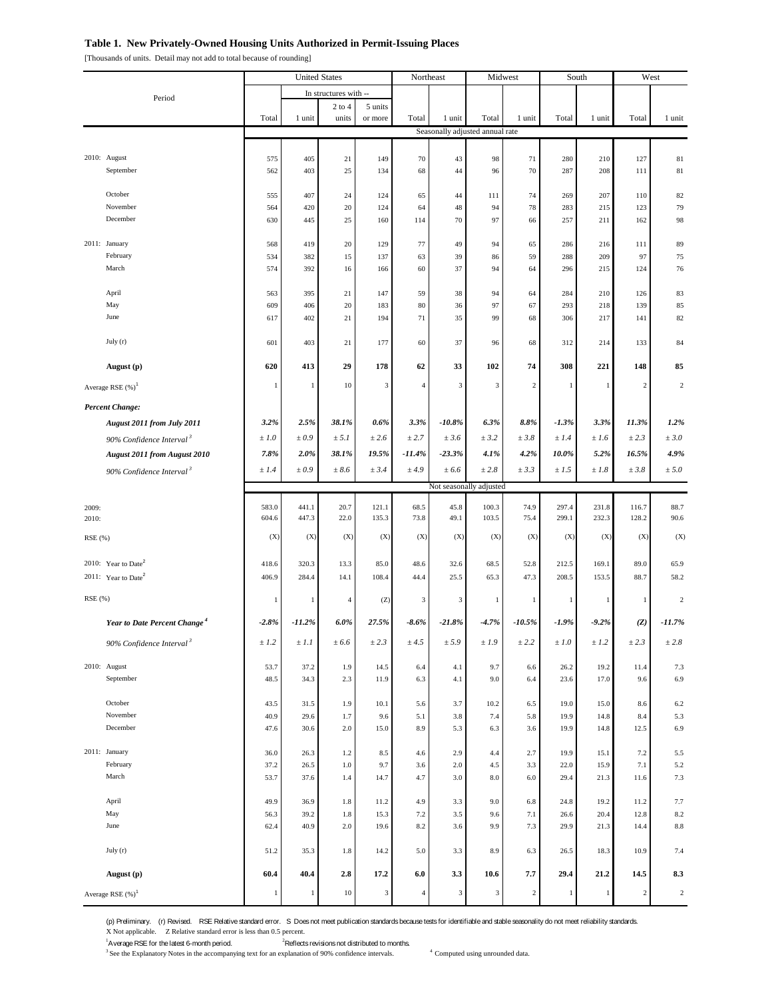#### **Table 1. New Privately-Owned Housing Units Authorized in Permit-Issuing Places**

[Thousands of units. Detail may not add to total because of rounding]

|                                          | <b>United States</b> |              | Northeast             |              | Midwest        |            | South                           |                | West         |              |                |                |
|------------------------------------------|----------------------|--------------|-----------------------|--------------|----------------|------------|---------------------------------|----------------|--------------|--------------|----------------|----------------|
| Period                                   |                      |              | In structures with -- |              |                |            |                                 |                |              |              |                |                |
|                                          |                      |              | $2$ to $4$            | 5 units      |                |            |                                 |                |              |              |                |                |
|                                          | Total                | 1 unit       | units                 | or more      | Total          | 1 unit     | Total                           | 1 unit         | Total        | 1 unit       | Total          | 1 unit         |
|                                          |                      |              |                       |              |                |            | Seasonally adjusted annual rate |                |              |              |                |                |
| 2010: August                             | 575                  | 405          | 21                    | 149          | 70             | 43         | 98                              | 71             | 280          | 210          | 127            | 81             |
| September                                | 562                  | 403          | 25                    | 134          | 68             | 44         | 96                              | 70             | 287          | 208          | 111            | 81             |
|                                          |                      |              |                       |              |                |            |                                 |                |              |              |                |                |
| October<br>November                      | 555<br>564           | 407<br>420   | 24<br>20              | 124<br>124   | 65<br>64       | 44<br>48   | 111<br>94                       | 74<br>$78\,$   | 269<br>283   | 207<br>215   | 110<br>123     | 82<br>79       |
| December                                 | 630                  | 445          | 25                    | 160          | 114            | 70         | 97                              | 66             | 257          | 211          | 162            | 98             |
|                                          |                      |              |                       |              |                |            |                                 |                |              |              |                |                |
| 2011: January                            | 568                  | 419          | 20                    | 129          | 77             | 49         | 94                              | 65             | 286          | 216          | 111            | 89             |
| February<br>March                        | 534<br>574           | 382<br>392   | 15<br>16              | 137<br>166   | 63<br>60       | 39<br>37   | 86<br>94                        | 59<br>64       | 288<br>296   | 209<br>215   | 97<br>124      | 75<br>76       |
|                                          |                      |              |                       |              |                |            |                                 |                |              |              |                |                |
| April                                    | 563                  | 395          | 21                    | 147          | 59             | 38         | 94                              | 64             | 284          | 210          | 126            | 83             |
| May                                      | 609                  | 406          | 20                    | 183          | 80             | 36         | 97                              | 67             | 293          | 218          | 139            | 85             |
| June                                     | 617                  | 402          | 21                    | 194          | 71             | 35         | 99                              | 68             | 306          | 217          | 141            | 82             |
| July $(r)$                               | 601                  | 403          | 21                    | 177          | 60             | 37         | 96                              | 68             | 312          | 214          | 133            | 84             |
| August (p)                               | 620                  | 413          | 29                    | 178          | 62             | 33         | 102                             | 74             | 308          | 221          | 148            | 85             |
|                                          |                      |              |                       |              |                |            |                                 |                |              |              |                |                |
| Average RSE (%) <sup>1</sup>             | 1                    | $\mathbf{1}$ | $10\,$                | 3            | $\overline{4}$ | 3          | 3                               | 2              | $\mathbf{1}$ | 1            | $\overline{c}$ | $\overline{c}$ |
| <b>Percent Change:</b>                   |                      |              |                       |              |                |            |                                 |                |              |              |                |                |
| August 2011 from July 2011               | 3.2%                 | 2.5%         | 38.1%                 | 0.6%         | 3.3%           | $-10.8%$   | $6.3\%$                         | 8.8%           | $-1.3%$      | 3.3%         | 11.3%          | 1.2%           |
| 90% Confidence Interval <sup>3</sup>     | ±1.0                 | ±0.9         | ± 5.1                 | ± 2.6        | ± 2.7          | ± 3.6      | ± 3.2                           | ±3.8           | ±1.4         | ±1.6         | ± 2.3          | ± 3.0          |
| <b>August 2011 from August 2010</b>      | 7.8%                 | 2.0%         | 38.1%                 | 19.5%        | $-11.4%$       | $-23.3%$   | 4.1%                            | 4.2%           | 10.0%        | 5.2%         | 16.5%          | 4.9%           |
| 90% Confidence Interval <sup>3</sup>     | ±1.4                 | $\pm 0.9$    | ± 8.6                 | ± 3.4        | ± 4.9          | ± 6.6      | ±2.8                            | ± 3.3          | $\pm\,1.5$   | ±1.8         | ± 3.8          | ± 5.0          |
|                                          |                      |              |                       |              |                |            | Not seasonally adjusted         |                |              |              |                |                |
| 2009:                                    | 583.0                | 441.1        | 20.7                  | 121.1        | 68.5           | 45.8       | 100.3                           | 74.9           | 297.4        | 231.8        | 116.7          | 88.7           |
| 2010:                                    | 604.6                | 447.3        | 22.0                  | 135.3        | 73.8           | 49.1       | 103.5                           | 75.4           | 299.1        | 232.3        | 128.2          | 90.6           |
| RSE (%)                                  | (X)                  | (X)          | (X)                   | (X)          | (X)            | (X)        | (X)                             | (X)            | (X)          | (X)          | (X)            | (X)            |
| 2010: Year to Date <sup>2</sup>          | 418.6                | 320.3        | 13.3                  | 85.0         | 48.6           | 32.6       | 68.5                            | 52.8           | 212.5        | 169.1        | 89.0           | 65.9           |
| 2011: Year to Date <sup>2</sup>          | 406.9                | 284.4        | 14.1                  | 108.4        | 44.4           | 25.5       | 65.3                            | 47.3           | 208.5        | 153.5        | 88.7           | 58.2           |
|                                          |                      |              |                       |              |                |            |                                 |                |              |              |                |                |
| RSE (%)                                  | 1                    | 1            | $\overline{4}$        | (Z)          | 3              | 3          | $\mathbf{1}$                    | $\mathbf{1}$   | $\mathbf{1}$ | 1            | 1              | $\overline{c}$ |
| Year to Date Percent Change <sup>4</sup> | $-2.8%$              | $-11.2%$     | 6.0%                  | 27.5%        | $-8.6%$        | $-21.8%$   | $-4.7%$                         | $-10.5%$       | -1.9%        | $-9.2%$      | (Z)            | $-11.7%$       |
| 90% Confidence Interval <sup>3</sup>     | ± 1.2                | ±1.1         | ± 6.6                 | ± 2.3        | ± 4.5          | ± 5.9      | ±1.9                            | ± 2.2          | ±1.0         | ± 1.2        | ± 2.3          | ±2.8           |
|                                          |                      |              |                       |              |                |            |                                 |                |              |              |                |                |
| 2010: August<br>September                | 53.7<br>48.5         | 37.2<br>34.3 | 1.9<br>2.3            | 14.5<br>11.9 | 6.4<br>6.3     | 4.1<br>4.1 | 9.7<br>9.0                      | 6.6<br>6.4     | 26.2<br>23.6 | 19.2<br>17.0 | 11.4<br>9.6    | 7.3<br>6.9     |
|                                          |                      |              |                       |              |                |            |                                 |                |              |              |                |                |
| October                                  | 43.5                 | 31.5         | 1.9                   | 10.1         | 5.6            | 3.7        | 10.2                            | 6.5            | 19.0         | 15.0         | 8.6            | $6.2\,$        |
| November<br>December                     | 40.9<br>47.6         | 29.6<br>30.6 | 1.7<br>2.0            | 9.6<br>15.0  | 5.1<br>8.9     | 3.8<br>5.3 | 7.4<br>6.3                      | 5.8<br>3.6     | 19.9<br>19.9 | 14.8<br>14.8 | 8.4<br>12.5    | 5.3<br>6.9     |
|                                          |                      |              |                       |              |                |            |                                 |                |              |              |                |                |
| 2011: January                            | 36.0                 | 26.3         | 1.2                   | 8.5          | 4.6            | 2.9        | 4.4                             | 2.7            | 19.9         | 15.1         | 7.2            | 5.5            |
| February                                 | 37.2                 | 26.5         | 1.0                   | 9.7          | 3.6            | $2.0\,$    | 4.5                             | 3.3            | 22.0         | 15.9         | 7.1            | 5.2            |
| March                                    | 53.7                 | 37.6         | 1.4                   | 14.7         | 4.7            | 3.0        | $\!\!8.0\!\!$                   | 6.0            | 29.4         | 21.3         | 11.6           | 7.3            |
| April                                    | 49.9                 | 36.9         | 1.8                   | 11.2         | 4.9            | 3.3        | 9.0                             | 6.8            | 24.8         | 19.2         | 11.2           | 7.7            |
| May                                      | 56.3                 | 39.2         | $1.8\,$               | 15.3         | 7.2            | 3.5        | 9.6                             | 7.1            | 26.6         | 20.4         | 12.8           | 8.2            |
| June                                     | 62.4                 | 40.9         | 2.0                   | 19.6         | 8.2            | 3.6        | 9.9                             | 7.3            | 29.9         | 21.3         | 14.4           | $8.8\,$        |
| July $(r)$                               | 51.2                 | 35.3         | 1.8                   | 14.2         | 5.0            | 3.3        | 8.9                             | 6.3            | 26.5         | 18.3         | 10.9           | 7.4            |
|                                          |                      |              |                       |              |                |            |                                 |                | 29.4         |              |                |                |
| August (p)                               | 60.4                 | 40.4         | 2.8                   | 17.2         | 6.0            | 3.3        | 10.6                            | 7.7            |              | 21.2         | 14.5           | 8.3            |
| Average RSE $(\%)^1$                     | 1                    | $\mathbf{1}$ | $10\,$                | 3            | $\overline{4}$ | 3          | 3                               | $\overline{c}$ | $\mathbf{1}$ | 1            | $\overline{c}$ | $\,2\,$        |

(p) Preliminary. (r) Revised. RSE Relative standard error. S Does not meet publication standards because tests for identifiable and stable seasonality do not meet reliability standards. X Not applicable. Z Relative standard error is less than 0.5 percent.

<sup>1</sup> Average RSE for the latest 6-month period.<sup>2</sup>  $2^2$ Reflects revisions not distributed to months.

<sup>3</sup> See the Explanatory Notes in the accompanying text for an explanation of 90% confidence intervals. <sup>4</sup> Computed using unrounded data.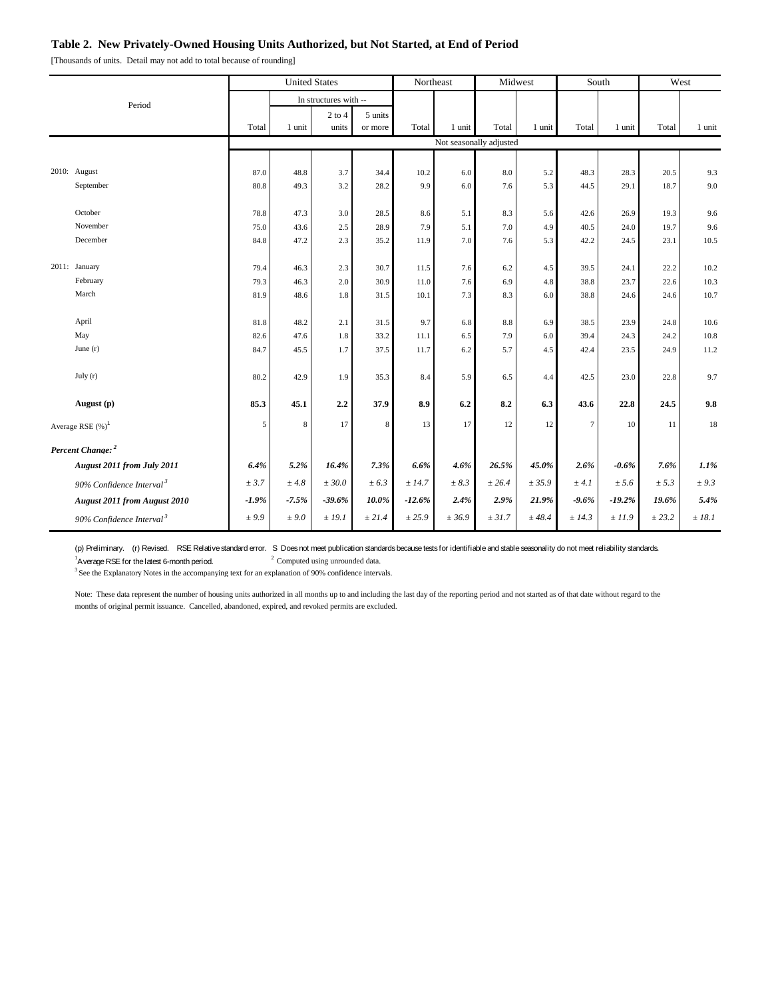### **Table 2. New Privately-Owned Housing Units Authorized, but Not Started, at End of Period**

[Thousands of units. Detail may not add to total because of rounding]

|  |                                      |          | <b>United States</b>  |            |         | Northeast |                         | Midwest |         | South   |          | West   |           |
|--|--------------------------------------|----------|-----------------------|------------|---------|-----------|-------------------------|---------|---------|---------|----------|--------|-----------|
|  | Period                               |          | In structures with -- |            |         |           |                         |         |         |         |          |        |           |
|  |                                      |          |                       | $2$ to $4$ | 5 units |           |                         |         |         |         |          |        |           |
|  |                                      | Total    | 1 unit                | units      | or more | Total     | 1 unit                  | Total   | 1 unit  | Total   | 1 unit   | Total  | 1 unit    |
|  |                                      |          |                       |            |         |           | Not seasonally adjusted |         |         |         |          |        |           |
|  |                                      |          |                       |            |         |           |                         |         |         |         |          |        |           |
|  | 2010: August                         | 87.0     | 48.8                  | 3.7        | 34.4    | 10.2      | 6.0                     | 8.0     | 5.2     | 48.3    | 28.3     | 20.5   | 9.3       |
|  | September                            | 80.8     | 49.3                  | 3.2        | 28.2    | 9.9       | 6.0                     | 7.6     | 5.3     | 44.5    | 29.1     | 18.7   | 9.0       |
|  | October                              | 78.8     | 47.3                  | 3.0        | 28.5    | 8.6       | 5.1                     | 8.3     | 5.6     | 42.6    | 26.9     | 19.3   | 9.6       |
|  | November                             | 75.0     | 43.6                  | 2.5        | 28.9    | 7.9       | 5.1                     | 7.0     | 4.9     | 40.5    | 24.0     | 19.7   | 9.6       |
|  | December                             | 84.8     | 47.2                  | 2.3        | 35.2    | 11.9      | 7.0                     | 7.6     | 5.3     | 42.2    | 24.5     | 23.1   | 10.5      |
|  |                                      |          |                       |            |         |           |                         |         |         |         |          |        |           |
|  | 2011: January                        | 79.4     | 46.3                  | 2.3        | 30.7    | 11.5      | 7.6                     | $6.2\,$ | 4.5     | 39.5    | 24.1     | 22.2   | 10.2      |
|  | February                             | 79.3     | 46.3                  | 2.0        | 30.9    | 11.0      | 7.6                     | 6.9     | $4.8\,$ | 38.8    | 23.7     | 22.6   | 10.3      |
|  | March                                | 81.9     | 48.6                  | 1.8        | 31.5    | 10.1      | 7.3                     | 8.3     | 6.0     | 38.8    | 24.6     | 24.6   | 10.7      |
|  |                                      |          |                       |            |         |           |                         |         |         |         |          |        |           |
|  | April                                | 81.8     | 48.2                  | 2.1        | 31.5    | 9.7       | 6.8                     | $8.8\,$ | 6.9     | 38.5    | 23.9     | 24.8   | 10.6      |
|  | May                                  | 82.6     | 47.6                  | 1.8        | 33.2    | 11.1      | 6.5                     | 7.9     | 6.0     | 39.4    | 24.3     | 24.2   | 10.8      |
|  | June $(r)$                           | 84.7     | 45.5                  | 1.7        | 37.5    | 11.7      | 6.2                     | 5.7     | 4.5     | 42.4    | 23.5     | 24.9   | 11.2      |
|  | July(r)                              |          |                       |            |         |           |                         |         |         |         |          |        |           |
|  |                                      | 80.2     | 42.9                  | 1.9        | 35.3    | 8.4       | 5.9                     | 6.5     | 4.4     | 42.5    | 23.0     | 22.8   | 9.7       |
|  | August (p)                           | 85.3     | 45.1                  | 2.2        | 37.9    | 8.9       | 6.2                     | 8.2     | 6.3     | 43.6    | 22.8     | 24.5   | 9.8       |
|  | Average RSE $(\%)^1$                 | 5        | 8                     | 17         | 8       | 13        | 17                      | 12      | 12      | $\tau$  | 10       | 11     | 18        |
|  |                                      |          |                       |            |         |           |                         |         |         |         |          |        |           |
|  | Percent Change: <sup>2</sup>         |          |                       |            |         |           |                         |         |         |         |          |        |           |
|  | August 2011 from July 2011           | 6.4%     | 5.2%                  | 16.4%      | 7.3%    | 6.6%      | 4.6%                    | 26.5%   | 45.0%   | 2.6%    | $-0.6\%$ | 7.6%   | 1.1%      |
|  | 90% Confidence Interval <sup>3</sup> | ± 3.7    | ±4.8                  | ± 30.0     | ± 6.3   | ± 14.7    | $\pm 8.3$               | ± 26.4  | ± 35.9  | ± 4.1   | ± 5.6    | ± 5.3  | $\pm$ 9.3 |
|  | <b>August 2011 from August 2010</b>  | $-1.9\%$ | $-7.5%$               | $-39.6%$   | 10.0%   | $-12.6%$  | 2.4%                    | 2.9%    | 21.9%   | $-9.6%$ | $-19.2%$ | 19.6%  | 5.4%      |
|  | 90% Confidence Interval <sup>3</sup> | ± 9.9    | ± 9.0                 | ±19.1      | ± 21.4  | ± 25.9    | ± 36.9                  | ± 31.7  | ±48.4   | ± 14.3  | ±11.9    | ± 23.2 | ±18.1     |

(p) Preliminary. (r) Revised. RSE Relative standard error. S Does not meet publication standards because tests for identifiable and stable seasonality do not meet reliability standards.

<sup>1</sup> Average RSE for the latest 6-month period.  $2^2$  Computed using unrounded data. <sup>3</sup> See the Explanatory Notes in the accompanying text for an explanation of 90% confidence intervals.<sup>3</sup> See the Explanatory Notes in the accompanying text for an explanation of 90% confidence intervals.

Note: These data represent the number of housing units authorized in all months up to and including the last day of the reporting period and not started as of that date without regard to the months of original permit issuance. Cancelled, abandoned, expired, and revoked permits are excluded.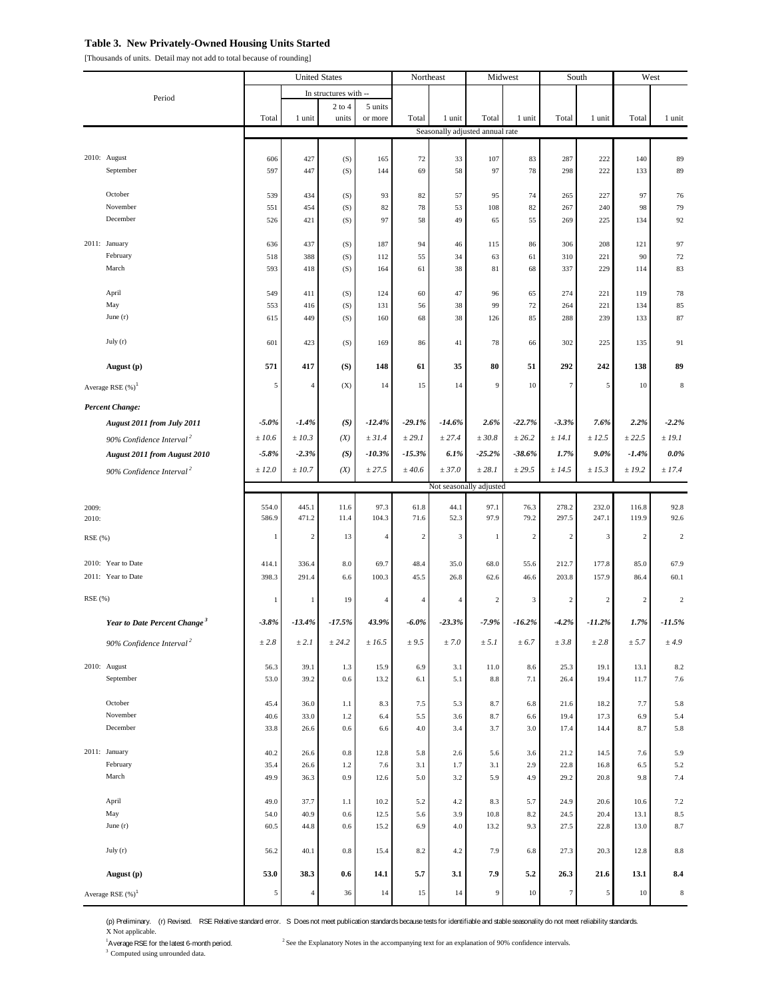### **Table 3. New Privately-Owned Housing Units Started**

[Thousands of units. Detail may not add to total because of rounding]

|                                          | <b>United States</b> |                | Northeast             |                | Midwest        |                | South                           |                | West             |              |              |                |
|------------------------------------------|----------------------|----------------|-----------------------|----------------|----------------|----------------|---------------------------------|----------------|------------------|--------------|--------------|----------------|
|                                          |                      |                | In structures with -- |                |                |                |                                 |                |                  |              |              |                |
| Period                                   |                      |                | $2$ to $4$            | 5 units        |                |                |                                 |                |                  |              |              |                |
|                                          | Total                | 1 unit         | units                 | or more        | Total          | 1 unit         | Total                           | 1 unit         | Total            | 1 unit       | Total        | 1 unit         |
|                                          |                      |                |                       |                |                |                | Seasonally adjusted annual rate |                |                  |              |              |                |
| 2010: August                             | 606                  | 427            | (S)                   | 165            | 72             | 33             | 107                             | 83             | 287              | 222          | 140          | 89             |
| September                                | 597                  | 447            | (S)                   | 144            | 69             | 58             | 97                              | 78             | 298              | 222          | 133          | 89             |
|                                          |                      |                |                       |                |                |                |                                 |                |                  |              |              |                |
| October<br>November                      | 539<br>551           | 434<br>454     | (S)                   | 93<br>82       | 82<br>78       | 57<br>53       | 95<br>108                       | 74             | 265<br>267       | 227<br>240   | 97<br>98     | 76<br>79       |
| December                                 | 526                  | 421            | (S)<br>(S)            | 97             | 58             | 49             | 65                              | 82<br>55       | 269              | 225          | 134          | 92             |
|                                          |                      |                |                       |                |                |                |                                 |                |                  |              |              |                |
| 2011: January                            | 636                  | 437            | (S)                   | 187            | 94             | 46             | 115                             | 86             | 306              | 208          | 121          | 97             |
| February<br>March                        | 518<br>593           | 388<br>418     | (S)<br>(S)            | 112<br>164     | 55<br>61       | 34<br>38       | 63<br>81                        | 61<br>68       | 310<br>337       | 221<br>229   | 90<br>114    | $72\,$<br>83   |
|                                          |                      |                |                       |                |                |                |                                 |                |                  |              |              |                |
| April                                    | 549                  | 411            | (S)                   | 124            | 60             | 47             | 96                              | 65             | 274              | 221          | 119          | 78             |
| May                                      | 553                  | 416            | (S)                   | 131            | 56             | 38             | 99                              | 72             | 264              | 221          | 134          | 85             |
| June $(r)$                               | 615                  | 449            | (S)                   | 160            | 68             | 38             | 126                             | 85             | 288              | 239          | 133          | 87             |
| July (r)                                 | 601                  | 423            | (S)                   | 169            | 86             | 41             | 78                              | 66             | 302              | 225          | 135          | 91             |
|                                          |                      |                |                       |                |                |                |                                 |                |                  |              |              |                |
| August (p)                               | 571                  | 417            | (S)                   | 148            | 61             | 35             | 80                              | 51             | 292              | 242          | 138          | 89             |
| Average RSE $(\%)^1$                     | 5                    | $\overline{4}$ | (X)                   | 14             | 15             | 14             | 9                               | 10             | $\tau$           | 5            | 10           | 8              |
| <b>Percent Change:</b>                   |                      |                |                       |                |                |                |                                 |                |                  |              |              |                |
| August 2011 from July 2011               | $-5.0%$              | $-1.4%$        | (S)                   | $-12.4%$       | $-29.1%$       | $-14.6%$       | 2.6%                            | $-22.7%$       | $-3.3%$          | 7.6%         | 2.2%         | $-2.2%$        |
| 90% Confidence Interval <sup>2</sup>     | ±10.6                | ±10.3          | (X)                   | ± 31.4         | ± 29.1         | ± 27.4         | ±30.8                           | ± 26.2         | ± 14.1           | ± 12.5       | ± 22.5       | ±19.1          |
| <b>August 2011 from August 2010</b>      | $-5.8%$              | $-2.3%$        | (S)                   | $-10.3%$       | $-15.3%$       | 6.1%           | $-25.2%$                        | $-38.6%$       | 1.7%             | $9.0\%$      | $-1.4%$      | $0.0\%$        |
| 90% Confidence Interval <sup>2</sup>     | ±12.0                | ±10.7          | (X)                   | ± 27.5         | ±40.6          | ± 37.0         | ± 28.1                          | ± 29.5         | ± 14.5           | ± 15.3       | ±19.2        | ±17.4          |
|                                          |                      |                |                       |                |                |                | Not seasonally adjusted         |                |                  |              |              |                |
| 2009:                                    | 554.0                | 445.1          | 11.6                  | 97.3           | 61.8           | 44.1           | 97.1                            | 76.3           | 278.2            | 232.0        | 116.8        | 92.8           |
| 2010:                                    | 586.9                | 471.2          | 11.4                  | 104.3          | 71.6           | 52.3           | 97.9                            | 79.2           | 297.5            | 247.1        | 119.9        | 92.6           |
| RSE (%)                                  | $\mathbf{1}$         | $\sqrt{2}$     | 13                    | $\overline{4}$ | $\overline{2}$ | 3              | $\mathbf{1}$                    | $\overline{c}$ | $\overline{c}$   | 3            | $\mathbf{2}$ | $\overline{c}$ |
|                                          |                      |                |                       |                |                |                |                                 |                |                  |              |              |                |
| 2010: Year to Date                       | 414.1                | 336.4          | 8.0                   | 69.7           | 48.4           | 35.0           | 68.0                            | 55.6           | 212.7            | 177.8        | 85.0         | 67.9           |
| 2011: Year to Date                       | 398.3                | 291.4          | 6.6                   | 100.3          | 45.5           | 26.8           | 62.6                            | 46.6           | 203.8            | 157.9        | 86.4         | 60.1           |
| RSE (%)                                  | $\mathbf{1}$         | $\mathbf{1}$   | 19                    | $\overline{4}$ | $\overline{4}$ | $\overline{4}$ | $\overline{c}$                  | 3              | $\,2$            | 2            | $\,2$        | $\mathbf{2}$   |
| Year to Date Percent Change <sup>3</sup> | $-3.8%$              | $-13.4%$       | $-17.5%$              | 43.9%          | $-6.0\%$       | $-23.3%$       | $-7.9%$                         | $-16.2\%$      | $-4.2%$          | $-11.2%$     | 1.7%         | $-11.5%$       |
|                                          |                      |                |                       |                |                |                |                                 |                |                  |              |              |                |
| 90% Confidence Interval <sup>2</sup>     | ±2.8                 | ± 2.1          | ± 24.2                | ± 16.5         | $\pm$ 9.5      | ±7.0           | ± 5.1                           | ± 6.7          | ±3.8             | ± 2.8        | ± 5.7        | ±4.9           |
| 2010: August                             | 56.3                 | 39.1           | 1.3                   | 15.9           | 6.9            | 3.1            | 11.0                            | 8.6            | 25.3             | 19.1         | 13.1         | 8.2            |
| September                                | 53.0                 | 39.2           | 0.6                   | 13.2           | 6.1            | 5.1            | $8.8\,$                         | 7.1            | 26.4             | 19.4         | 11.7         | 7.6            |
| October                                  |                      |                |                       | 8.3            | 7.5            |                |                                 |                |                  |              | 7.7          |                |
| November                                 | 45.4<br>40.6         | 36.0<br>33.0   | 1.1<br>$1.2\,$        | 6.4            | 5.5            | 5.3<br>3.6     | 8.7<br>8.7                      | 6.8<br>6.6     | 21.6<br>19.4     | 18.2<br>17.3 | 6.9          | 5.8<br>5.4     |
| December                                 | 33.8                 | 26.6           | 0.6                   | 6.6            | 4.0            | 3.4            | 3.7                             | 3.0            | 17.4             | 14.4         | 8.7          | 5.8            |
|                                          |                      |                |                       |                |                |                |                                 |                |                  |              |              |                |
| 2011: January<br>February                | 40.2<br>35.4         | 26.6<br>26.6   | 0.8<br>1.2            | 12.8<br>7.6    | 5.8<br>3.1     | $2.6\,$<br>1.7 | 5.6<br>3.1                      | 3.6<br>2.9     | 21.2<br>22.8     | 14.5<br>16.8 | 7.6<br>6.5   | 5.9<br>5.2     |
| March                                    | 49.9                 | 36.3           | 0.9                   | 12.6           | 5.0            | 3.2            | 5.9                             | 4.9            | 29.2             | 20.8         | 9.8          | 7.4            |
|                                          |                      |                |                       |                |                |                |                                 |                |                  |              |              |                |
| April                                    | 49.0                 | 37.7           | 1.1                   | 10.2           | 5.2            | 4.2            | 8.3                             | 5.7            | 24.9             | 20.6         | 10.6         | 7.2            |
| May<br>June $(r)$                        | 54.0<br>60.5         | 40.9<br>44.8   | 0.6<br>0.6            | 12.5<br>15.2   | 5.6<br>6.9     | 3.9<br>4.0     | 10.8<br>13.2                    | 8.2<br>9.3     | 24.5<br>27.5     | 20.4<br>22.8 | 13.1<br>13.0 | 8.5<br>8.7     |
|                                          |                      |                |                       |                |                |                |                                 |                |                  |              |              |                |
| July (r)                                 | 56.2                 | 40.1           | 0.8                   | 15.4           | 8.2            | 4.2            | 7.9                             | 6.8            | 27.3             | 20.3         | 12.8         | $8.8\,$        |
| August (p)                               | 53.0                 | 38.3           | 0.6                   | 14.1           | 5.7            | 3.1            | 7.9                             | 5.2            | 26.3             | 21.6         | 13.1         | 8.4            |
| Average RSE $(%)$ <sup>1</sup>           | 5                    | $\overline{4}$ | 36                    | 14             | 15             | 14             | 9                               | 10             | $\boldsymbol{7}$ | 5            | $10\,$       | $\bf 8$        |
|                                          |                      |                |                       |                |                |                |                                 |                |                  |              |              |                |

(p) Preliminary. (r) Revised. RSE Relative standard error. S Does not meet publication standards because tests for identifiable and stable seasonality do not meet reliability standards.

X Not applicable. <sup>1</sup>A verage RSE for the latest 6-month period.

 $^{2}$  See the Explanatory Notes in the accompanying text for an explanation of 90% confidence intervals.

<sup>3</sup> Computed using unrounded data.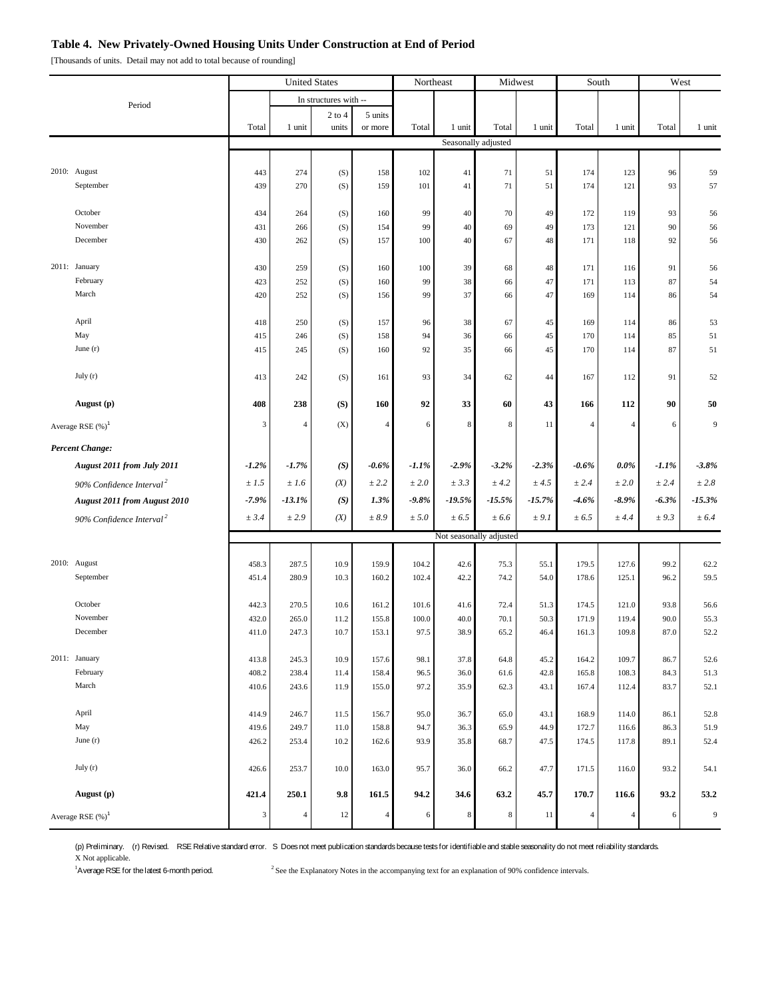### **Table 4. New Privately-Owned Housing Units Under Construction at End of Period**

[Thousands of units. Detail may not add to total because of rounding]

|                        |                                      | <b>United States</b> |                | Northeast             |                | Midwest       |                         | South               |              | West           |                |              |                  |  |
|------------------------|--------------------------------------|----------------------|----------------|-----------------------|----------------|---------------|-------------------------|---------------------|--------------|----------------|----------------|--------------|------------------|--|
|                        | Period                               |                      |                | In structures with -- |                |               |                         |                     |              |                |                |              |                  |  |
|                        |                                      |                      |                | $2$ to $4$            | 5 units        |               |                         |                     |              |                |                |              |                  |  |
|                        |                                      | Total                | 1 unit         | units                 | or more        | Total         | 1 unit                  | Total               | 1 unit       | Total          | 1 unit         | Total        | 1 unit           |  |
|                        |                                      |                      |                |                       |                |               |                         | Seasonally adjusted |              |                |                |              |                  |  |
|                        |                                      |                      |                |                       |                |               |                         |                     |              |                |                |              |                  |  |
|                        | 2010: August                         | 443                  | 274            | (S)                   | 158            | 102           | 41                      | 71                  | 51           | 174            | 123            | 96           | 59               |  |
|                        | September                            | 439                  | 270            | (S)                   | 159            | 101           | 41                      | 71                  | 51           | 174            | 121            | 93           | 57               |  |
|                        |                                      |                      |                |                       |                |               |                         |                     |              |                |                |              |                  |  |
|                        | October<br>November                  | 434<br>431           | 264<br>266     | (S)<br>(S)            | 160<br>154     | 99<br>99      | 40<br>40                | 70<br>69            | 49<br>49     | 172<br>173     | 119<br>121     | 93<br>90     | 56               |  |
|                        | December                             | 430                  | 262            | (S)                   | 157            | 100           | 40                      | 67                  | 48           | 171            | 118            | 92           | 56<br>56         |  |
|                        |                                      |                      |                |                       |                |               |                         |                     |              |                |                |              |                  |  |
|                        | 2011: January                        | 430                  | 259            | (S)                   | 160            | 100           | 39                      | 68                  | 48           | 171            | 116            | 91           | 56               |  |
|                        | February                             | 423                  | 252            | (S)                   | 160            | 99            | 38                      | 66                  | 47           | 171            | 113            | 87           | 54               |  |
|                        | March                                | 420                  | 252            | (S)                   | 156            | 99            | 37                      | 66                  | 47           | 169            | 114            | 86           | 54               |  |
|                        |                                      |                      |                |                       |                |               |                         |                     |              |                |                |              |                  |  |
|                        | April                                | 418                  | 250            | (S)                   | 157            | 96            | 38                      | 67                  | 45           | 169            | 114            | 86           | 53               |  |
|                        | May                                  | 415                  | 246            | (S)                   | 158            | 94            | 36                      | 66                  | 45           | 170            | 114            | 85           | 51               |  |
|                        | June $(r)$                           | 415                  | 245            | (S)                   | 160            | 92            | 35                      | 66                  | 45           | 170            | 114            | 87           | 51               |  |
|                        | July (r)                             | 413                  | 242            | (S)                   | 161            | 93            | 34                      | 62                  | 44           | 167            | 112            | 91           | 52               |  |
|                        |                                      |                      |                |                       |                |               |                         |                     |              |                |                |              |                  |  |
|                        | August (p)                           | 408                  | 238            | (S)                   | 160            | 92            | 33                      | 60                  | 43           | 166            | 112            | 90           | 50               |  |
| Average RSE $(\%)^1$   |                                      | 3                    | $\overline{4}$ | (X)                   | 4              | 6             | 8                       | $\,$ 8 $\,$         | 11           | 4              | 4              | 6            | 9                |  |
| <b>Percent Change:</b> |                                      |                      |                |                       |                |               |                         |                     |              |                |                |              |                  |  |
|                        |                                      |                      |                |                       |                |               |                         |                     |              |                |                |              |                  |  |
|                        | August 2011 from July 2011           | $-1.2%$              | $-1.7%$        | (S)                   | $-0.6\%$       | $-1.1\%$      | $-2.9%$                 | $-3.2\%$            | $-2.3%$      | $-0.6\%$       | $0.0\%$        | $-1.1%$      | $-3.8%$          |  |
|                        | 90% Confidence Interval <sup>2</sup> | ±1.5                 | ±1.6           | (X)                   | ± 2.2          | ± 2.0         | ± 3.3                   | ± 4.2               | ± 4.5        | ± 2.4          | ± 2.0          | ± 2.4        | $\pm\,2.8$       |  |
|                        | <b>August 2011 from August 2010</b>  | $-7.9%$              | $-13.1%$       | (S)                   | 1.3%           | $-9.8%$       | $-19.5\%$               | $-15.5%$            | $-15.7%$     | $-4.6%$        | $-8.9\%$       | $-6.3\%$     | $-15.3%$         |  |
|                        | 90% Confidence Interval <sup>2</sup> | ± 3.4                | ± 2.9          | (X)                   | ± 8.9          | ± 5.0         | ± 6.5                   | ± 6.6               | ± 9.1        | ± 6.5          | ± 4.4          | ± 9.3        | ± 6.4            |  |
|                        |                                      |                      |                |                       |                |               | Not seasonally adjusted |                     |              |                |                |              |                  |  |
|                        |                                      |                      |                |                       |                |               |                         |                     |              |                |                |              |                  |  |
|                        | 2010: August                         | 458.3                | 287.5          | 10.9                  | 159.9          | 104.2         | 42.6                    | 75.3                | 55.1         | 179.5          | 127.6          | 99.2         | 62.2             |  |
|                        | September                            | 451.4                | 280.9          | 10.3                  | 160.2          | 102.4         | 42.2                    | 74.2                | 54.0         | 178.6          | 125.1          | 96.2         | 59.5             |  |
|                        |                                      |                      |                |                       |                |               |                         |                     |              |                |                |              |                  |  |
|                        | October<br>November                  | 442.3                | 270.5          | 10.6                  | 161.2          | 101.6         | 41.6                    | 72.4                | 51.3         | 174.5          | 121.0          | 93.8         | 56.6             |  |
|                        | December                             | 432.0<br>411.0       | 265.0<br>247.3 | 11.2<br>10.7          | 155.8<br>153.1 | 100.0<br>97.5 | 40.0<br>38.9            | 70.1<br>65.2        | 50.3<br>46.4 | 171.9<br>161.3 | 119.4<br>109.8 | 90.0<br>87.0 | 55.3<br>52.2     |  |
|                        |                                      |                      |                |                       |                |               |                         |                     |              |                |                |              |                  |  |
|                        | 2011: January                        | 413.8                | 245.3          | 10.9                  | 157.6          | 98.1          | 37.8                    | 64.8                | 45.2         | 164.2          | 109.7          | 86.7         | 52.6             |  |
|                        | February                             | 408.2                | 238.4          | 11.4                  | 158.4          | 96.5          | 36.0                    | 61.6                | 42.8         | 165.8          | 108.3          | 84.3         | 51.3             |  |
|                        | March                                | 410.6                | 243.6          | 11.9                  | 155.0          | 97.2          | 35.9                    | 62.3                | 43.1         | 167.4          | 112.4          | 83.7         | 52.1             |  |
|                        |                                      |                      |                |                       |                |               |                         |                     |              |                |                |              |                  |  |
|                        | April                                | 414.9                | 246.7          | 11.5                  | 156.7          | 95.0          | 36.7                    | 65.0                | 43.1         | 168.9          | 114.0          | 86.1         | 52.8             |  |
|                        | May                                  | 419.6                | 249.7          | 11.0                  | 158.8          | 94.7          | 36.3                    | 65.9                | 44.9         | 172.7          | 116.6          | 86.3         | 51.9             |  |
|                        | June $(r)$                           | 426.2                | 253.4          | 10.2                  | 162.6          | 93.9          | 35.8                    | 68.7                | 47.5         | 174.5          | 117.8          | 89.1         | 52.4             |  |
|                        | July(r)                              | 426.6                | 253.7          | 10.0                  | 163.0          | 95.7          | 36.0                    | 66.2                | 47.7         | 171.5          | 116.0          | 93.2         | 54.1             |  |
|                        | August (p)                           | 421.4                | 250.1          | 9.8                   | 161.5          | 94.2          | 34.6                    | 63.2                | 45.7         | 170.7          | 116.6          | 93.2         | 53.2             |  |
|                        |                                      |                      |                |                       |                |               |                         |                     |              |                |                |              |                  |  |
| Average RSE $(\%)^1$   |                                      | $\sqrt{3}$           | $\overline{4}$ | 12                    | $\overline{4}$ | 6             | 8                       | 8                   | 11           | $\overline{4}$ | 4              | 6            | $\boldsymbol{9}$ |  |

(p) Preliminary. (r) Revised. RSE Relative standard error. S Does not meet publication standards because tests for identifiable and stable seasonality do not meet reliability standards. X Not applicable.

<sup>1</sup>A verage RSE for the latest 6-month period.

 $^2$  See the Explanatory Notes in the accompanying text for an explanation of 90% confidence intervals.